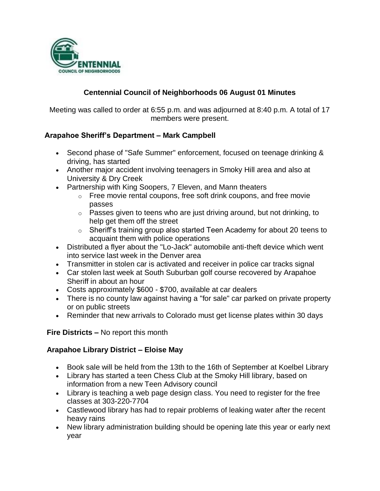

# **Centennial Council of Neighborhoods 06 August 01 Minutes**

Meeting was called to order at 6:55 p.m. and was adjourned at 8:40 p.m. A total of 17 members were present.

### **Arapahoe Sheriff's Department – Mark Campbell**

- Second phase of "Safe Summer" enforcement, focused on teenage drinking & driving, has started
- Another major accident involving teenagers in Smoky Hill area and also at University & Dry Creek
- Partnership with King Soopers, 7 Eleven, and Mann theaters
	- $\circ$  Free movie rental coupons, free soft drink coupons, and free movie passes
	- $\circ$  Passes given to teens who are just driving around, but not drinking, to help get them off the street
	- o Sheriff's training group also started Teen Academy for about 20 teens to acquaint them with police operations
- Distributed a flyer about the "Lo-Jack" automobile anti-theft device which went into service last week in the Denver area
- Transmitter in stolen car is activated and receiver in police car tracks signal
- Car stolen last week at South Suburban golf course recovered by Arapahoe Sheriff in about an hour
- Costs approximately \$600 \$700, available at car dealers
- There is no county law against having a "for sale" car parked on private property or on public streets
- Reminder that new arrivals to Colorado must get license plates within 30 days

### **Fire Districts –** No report this month

#### **Arapahoe Library District – Eloise May**

- Book sale will be held from the 13th to the 16th of September at Koelbel Library
- Library has started a teen Chess Club at the Smoky Hill library, based on information from a new Teen Advisory council
- Library is teaching a web page design class. You need to register for the free classes at 303-220-7704
- Castlewood library has had to repair problems of leaking water after the recent heavy rains
- New library administration building should be opening late this year or early next year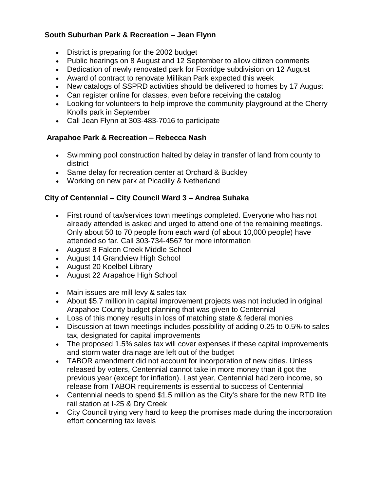## **South Suburban Park & Recreation – Jean Flynn**

- District is preparing for the 2002 budget
- Public hearings on 8 August and 12 September to allow citizen comments
- Dedication of newly renovated park for Foxridge subdivision on 12 August
- Award of contract to renovate Millikan Park expected this week
- New catalogs of SSPRD activities should be delivered to homes by 17 August
- Can register online for classes, even before receiving the catalog
- Looking for volunteers to help improve the community playground at the Cherry Knolls park in September
- Call Jean Flynn at 303-483-7016 to participate

# **Arapahoe Park & Recreation – Rebecca Nash**

- Swimming pool construction halted by delay in transfer of land from county to district
- Same delay for recreation center at Orchard & Buckley
- Working on new park at Picadilly & Netherland

# **City of Centennial – City Council Ward 3 – Andrea Suhaka**

- First round of tax/services town meetings completed. Everyone who has not already attended is asked and urged to attend one of the remaining meetings. Only about 50 to 70 people from each ward (of about 10,000 people) have attended so far. Call 303-734-4567 for more information
- August 8 Falcon Creek Middle School
- August 14 Grandview High School
- August 20 Koelbel Library
- August 22 Arapahoe High School
- Main issues are mill levy & sales tax
- About \$5.7 million in capital improvement projects was not included in original Arapahoe County budget planning that was given to Centennial
- Loss of this money results in loss of matching state & federal monies
- Discussion at town meetings includes possibility of adding 0.25 to 0.5% to sales tax, designated for capital improvements
- The proposed 1.5% sales tax will cover expenses if these capital improvements and storm water drainage are left out of the budget
- TABOR amendment did not account for incorporation of new cities. Unless released by voters, Centennial cannot take in more money than it got the previous year (except for inflation). Last year, Centennial had zero income, so release from TABOR requirements is essential to success of Centennial
- Centennial needs to spend \$1.5 million as the City's share for the new RTD lite rail station at I-25 & Dry Creek
- City Council trying very hard to keep the promises made during the incorporation effort concerning tax levels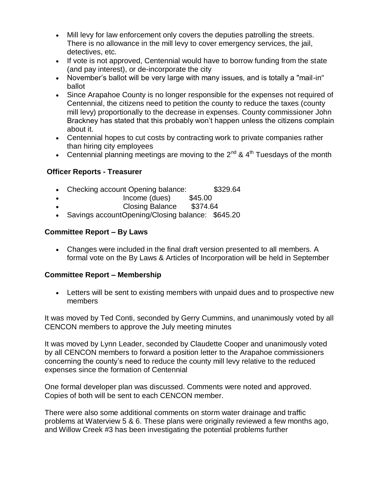- Mill levy for law enforcement only covers the deputies patrolling the streets. There is no allowance in the mill levy to cover emergency services, the jail, detectives, etc.
- If vote is not approved, Centennial would have to borrow funding from the state (and pay interest), or de-incorporate the city
- November's ballot will be very large with many issues, and is totally a "mail-in" ballot
- Since Arapahoe County is no longer responsible for the expenses not required of Centennial, the citizens need to petition the county to reduce the taxes (county mill levy) proportionally to the decrease in expenses. County commissioner John Brackney has stated that this probably won't happen unless the citizens complain about it.
- Centennial hopes to cut costs by contracting work to private companies rather than hiring city employees
- Centennial planning meetings are moving to the  $2^{nd}$  &  $4^{th}$  Tuesdays of the month

### **Officer Reports - Treasurer**

- Checking account Opening balance:  $$329.64$
- Income (dues) \$45.00
	- Closing Balance \$374.64
- Savings accountOpening/Closing balance: \$645.20

# **Committee Report – By Laws**

 Changes were included in the final draft version presented to all members. A formal vote on the By Laws & Articles of Incorporation will be held in September

### **Committee Report – Membership**

 Letters will be sent to existing members with unpaid dues and to prospective new members

It was moved by Ted Conti, seconded by Gerry Cummins, and unanimously voted by all CENCON members to approve the July meeting minutes

It was moved by Lynn Leader, seconded by Claudette Cooper and unanimously voted by all CENCON members to forward a position letter to the Arapahoe commissioners concerning the county's need to reduce the county mill levy relative to the reduced expenses since the formation of Centennial

One formal developer plan was discussed. Comments were noted and approved. Copies of both will be sent to each CENCON member.

There were also some additional comments on storm water drainage and traffic problems at Waterview 5 & 6. These plans were originally reviewed a few months ago, and Willow Creek #3 has been investigating the potential problems further